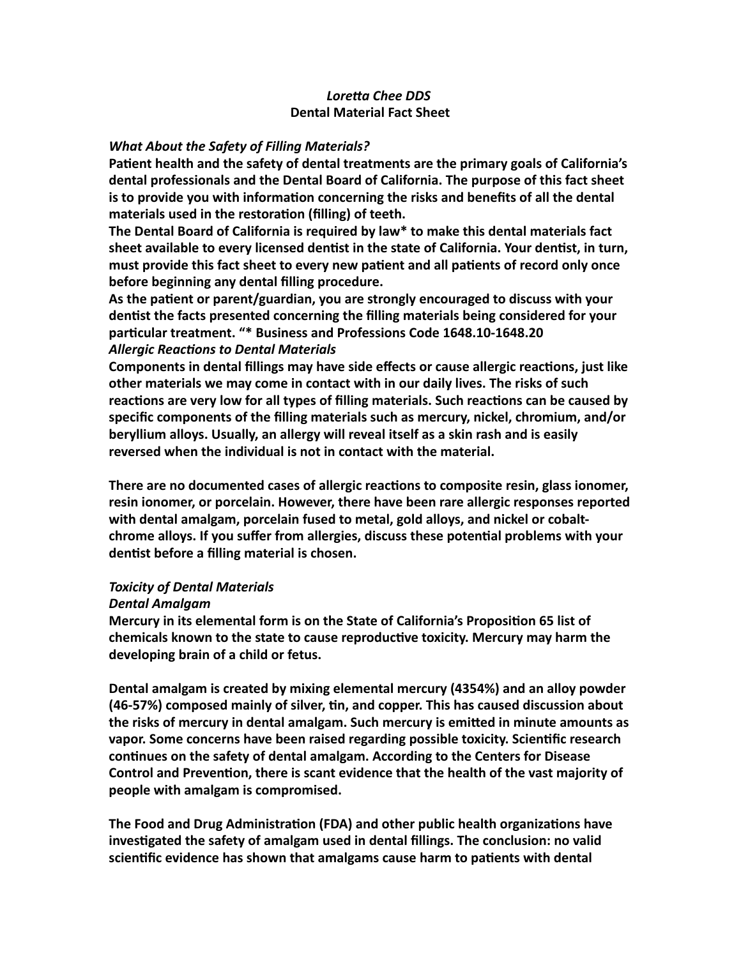## Loretta Chee DDS **Dental Material Fact Sheet**

### **What About the Safety of Filling Materials?**

Patient health and the safety of dental treatments are the primary goals of California's dental professionals and the Dental Board of California. The purpose of this fact sheet **is to provide you with information concerning the risks and benefits of all the dental** materials used in the restoration (filling) of teeth.

**The Dental Board of California is required by law\* to make this dental materials fact** sheet available to every licensed dentist in the state of California. Your dentist, in turn, must provide this fact sheet to every new patient and all patients of record only once **before beginning any dental filling procedure.** 

As the patient or parent/guardian, you are strongly encouraged to discuss with your dentist the facts presented concerning the filling materials being considered for your particular treatment. "\* Business and Professions Code 1648.10-1648.20 **Allergic Reactions to Dental Materials** 

**Components in dental fillings may have side effects or cause allergic reactions, just like** other materials we may come in contact with in our daily lives. The risks of such reactions are very low for all types of filling materials. Such reactions can be caused by specific components of the filling materials such as mercury, nickel, chromium, and/or **beryllium alloys. Usually, an allergy will reveal itself as a skin rash and is easily** reversed when the individual is not in contact with the material.

There are no documented cases of allergic reactions to composite resin, glass ionomer, resin ionomer, or porcelain. However, there have been rare allergic responses reported with dental amalgam, porcelain fused to metal, gold alloys, and nickel or cobaltchrome alloys. If you suffer from allergies, discuss these potential problems with your dentist before a filling material is chosen.

#### *Toxicity of Dental Materials*

#### *Dental Amalgam*

**Mercury in its elemental form is on the State of California's Proposition 65 list of** chemicals known to the state to cause reproductive toxicity. Mercury may harm the developing brain of a child or fetus.

**Dental amalgam is created by mixing elemental mercury (4354%) and an alloy powder (46-57%)** composed mainly of silver, tin, and copper. This has caused discussion about the risks of mercury in dental amalgam. Such mercury is emitted in minute amounts as vapor. Some concerns have been raised regarding possible toxicity. Scientific research continues on the safety of dental amalgam. According to the Centers for Disease Control and Prevention, there is scant evidence that the health of the vast majority of people with amalgam is compromised.

The Food and Drug Administration (FDA) and other public health organizations have investigated the safety of amalgam used in dental fillings. The conclusion: no valid scientific evidence has shown that amalgams cause harm to patients with dental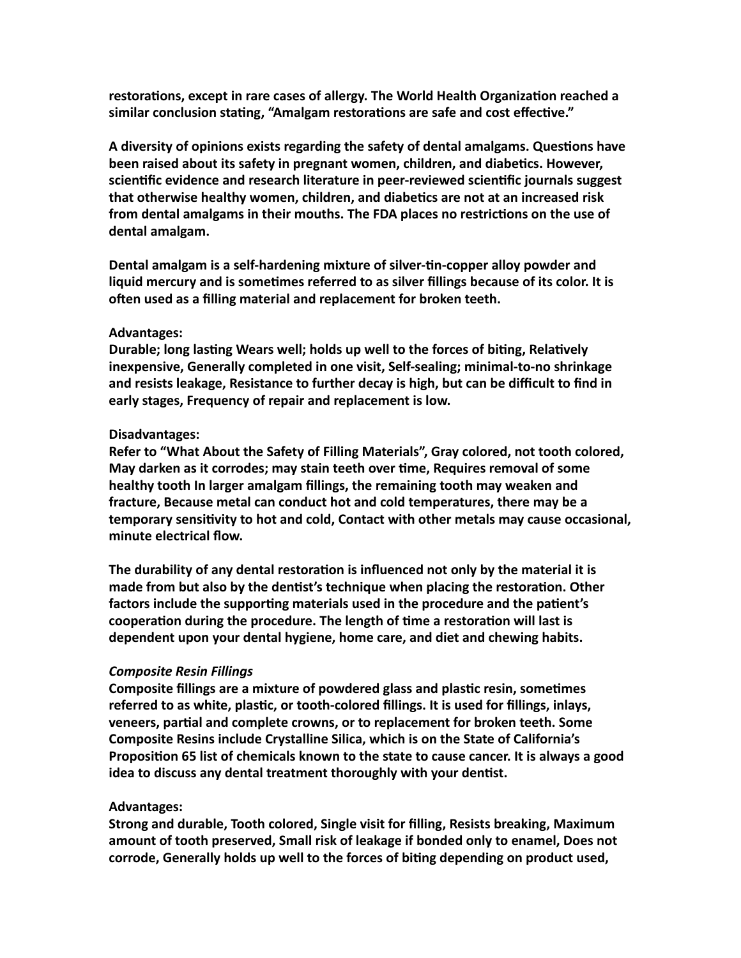restorations, except in rare cases of allergy. The World Health Organization reached a similar conclusion stating, "Amalgam restorations are safe and cost effective."

A diversity of opinions exists regarding the safety of dental amalgams. Questions have **been raised about its safety in pregnant women, children, and diabetics. However,** scientific evidence and research literature in peer-reviewed scientific journals suggest **that otherwise healthy women, children, and diabetics are not at an increased risk** from dental amalgams in their mouths. The FDA places no restrictions on the use of dental amalgam.

Dental amalgam is a self-hardening mixture of silver-tin-copper alloy powder and **liquid mercury and is sometimes referred to as silver fillings because of its color. It is** often used as a filling material and replacement for broken teeth.

### Advantages:

Durable; long lasting Wears well; holds up well to the forces of biting, Relatively inexpensive, Generally completed in one visit, Self-sealing; minimal-to-no shrinkage and resists leakage, Resistance to further decay is high, but can be difficult to find in **early stages, Frequency of repair and replacement is low.** 

### Disadvantages:

Refer to "What About the Safety of Filling Materials", Gray colored, not tooth colored, **May darken as it corrodes; may stain teeth over time, Requires removal of some** healthy tooth In larger amalgam fillings, the remaining tooth may weaken and fracture, Because metal can conduct hot and cold temperatures, there may be a temporary sensitivity to hot and cold, Contact with other metals may cause occasional, minute electrical flow.

The durability of any dental restoration is influenced not only by the material it is made from but also by the dentist's technique when placing the restoration. Other factors include the supporting materials used in the procedure and the patient's cooperation during the procedure. The length of time a restoration will last is dependent upon your dental hygiene, home care, and diet and chewing habits.

# *Composite Resin Fillings*

**Composite fillings are a mixture of powdered glass and plastic resin, sometimes** referred to as white, plastic, or tooth-colored fillings. It is used for fillings, inlays, **veneers, partial and complete crowns, or to replacement for broken teeth. Some Composite Resins include Crystalline Silica, which is on the State of California's Proposition 65 list of chemicals known to the state to cause cancer. It is always a good idea to discuss any dental treatment thoroughly with your dentist.** 

# **Advantages:**

Strong and durable, Tooth colored, Single visit for filling, Resists breaking, Maximum amount of tooth preserved, Small risk of leakage if bonded only to enamel, Does not corrode, Generally holds up well to the forces of biting depending on product used,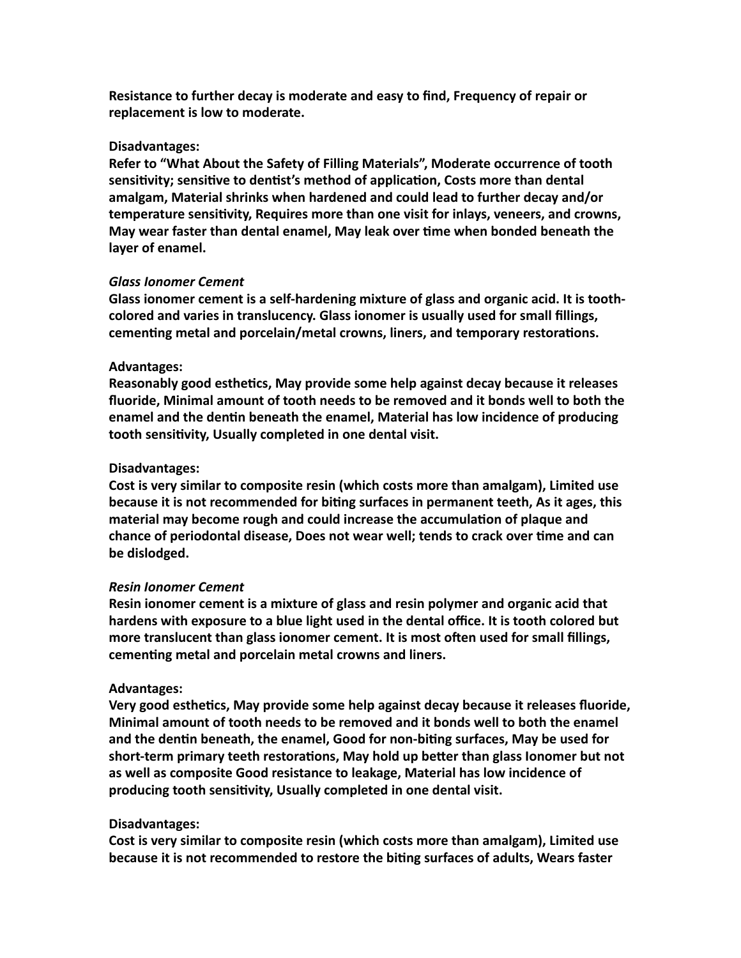**Resistance to further decay is moderate and easy to find, Frequency of repair or** replacement is low to moderate.

### Disadvantages:

Refer to "What About the Safety of Filling Materials", Moderate occurrence of tooth sensitivity; sensitive to dentist's method of application, Costs more than dental amalgam, Material shrinks when hardened and could lead to further decay and/or **temperature sensitivity, Requires more than one visit for inlays, veneers, and crowns, May wear faster than dental enamel, May leak over time when bonded beneath the** layer of enamel.

### *Glass Ionomer Cement*

Glass ionomer cement is a self-hardening mixture of glass and organic acid. It is toothcolored and varies in translucency. Glass ionomer is usually used for small fillings, cementing metal and porcelain/metal crowns, liners, and temporary restorations.

### Advantages:

**Reasonably good esthetics, May provide some help against decay because it releases** fluoride, Minimal amount of tooth needs to be removed and it bonds well to both the enamel and the dentin beneath the enamel, Material has low incidence of producing tooth sensitivity, Usually completed in one dental visit.

### **Disadvantages:**

Cost is very similar to composite resin (which costs more than amalgam), Limited use **because it is not recommended for biting surfaces in permanent teeth, As it ages, this** material may become rough and could increase the accumulation of plaque and chance of periodontal disease, Does not wear well; tends to crack over time and can be dislodged.

#### *Resin Ionomer Cement*

**Resin ionomer cement is a mixture of glass and resin polymer and organic acid that** hardens with exposure to a blue light used in the dental office. It is tooth colored but more translucent than glass ionomer cement. It is most often used for small fillings, cementing metal and porcelain metal crowns and liners.

#### Advantages:

Very good esthetics, May provide some help against decay because it releases fluoride, **Minimal amount of tooth needs to be removed and it bonds well to both the enamel** and the dentin beneath, the enamel, Good for non-biting surfaces, May be used for short-term primary teeth restorations, May hold up better than glass lonomer but not as well as composite Good resistance to leakage, Material has low incidence of producing tooth sensitivity, Usually completed in one dental visit.

#### **Disadvantages:**

Cost is very similar to composite resin (which costs more than amalgam), Limited use **because it is not recommended to restore the biting surfaces of adults, Wears faster**